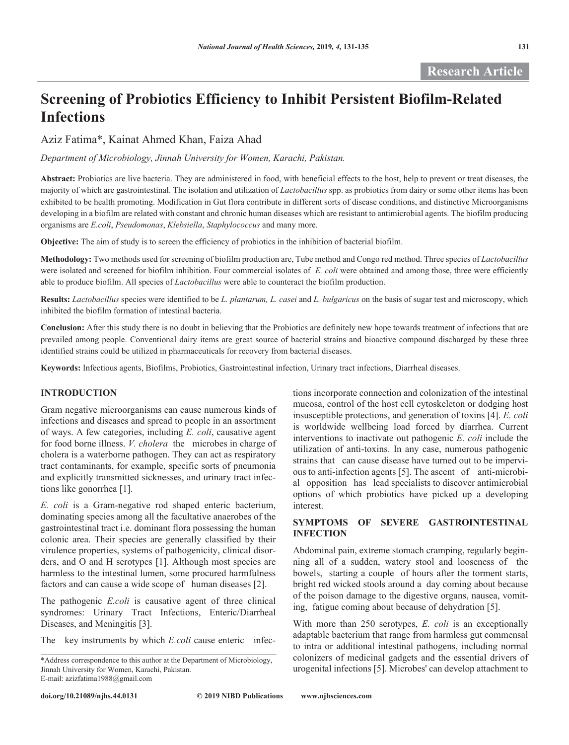# **Screening of Probiotics Efficiency to Inhibit Persistent Biofilm-Related Infections**

Aziz Fatima\*, Kainat Ahmed Khan, Faiza Ahad

*Department of Microbiology, Jinnah University for Women, Karachi, Pakistan.*

**Abstract:** Probiotics are live bacteria. They are administered in food, with beneficial effects to the host, help to prevent or treat diseases, the majority of which are gastrointestinal. The isolation and utilization of *Lactobacillus* spp. as probiotics from dairy or some other items has been exhibited to be health promoting. Modification in Gut flora contribute in different sorts of disease conditions, and distinctive Microorganisms developing in a biofilm are related with constant and chronic human diseases which are resistant to antimicrobial agents. The biofilm producing organisms are *E.coli*, *Pseudomonas*, *Klebsiella*, *Staphylococcus* and many more.

**Objective:** The aim of study is to screen the efficiency of probiotics in the inhibition of bacterial biofilm.

**Methodology:** Two methods used for screening of biofilm production are, Tube method and Congo red method. Three species of *Lactobacillus* were isolated and screened for biofilm inhibition. Four commercial isolates of *E. coli* were obtained and among those, three were efficiently able to produce biofilm. All species of *Lactobacillus* were able to counteract the biofilm production.

**Results:** *Lactobacillus* species were identified to be *L. plantarum, L. casei* and *L. bulgaricus* on the basis of sugar test and microscopy, which inhibited the biofilm formation of intestinal bacteria.

**Conclusion:** After this study there is no doubt in believing that the Probiotics are definitely new hope towards treatment of infections that are prevailed among people. Conventional dairy items are great source of bacterial strains and bioactive compound discharged by these three identified strains could be utilized in pharmaceuticals for recovery from bacterial diseases.

**Keywords:** Infectious agents, Biofilms, Probiotics, Gastrointestinal infection, Urinary tract infections, Diarrheal diseases.

# **INTRODUCTION**

Gram negative microorganisms can cause numerous kinds of infections and diseases and spread to people in an assortment of ways. A few categories, including *E. coli*, causative agent for food borne illness. *V. cholera* the microbes in charge of cholera is a waterborne pathogen. They can act as respiratory tract contaminants, for example, specific sorts of pneumonia and explicitly transmitted sicknesses, and urinary tract infections like gonorrhea [1].

*E. coli* is a Gram-negative rod shaped enteric bacterium, dominating species among all the facultative anaerobes of the gastrointestinal tract i.e. dominant flora possessing the human colonic area. Their species are generally classified by their virulence properties, systems of pathogenicity, clinical disorders, and O and H serotypes [1]. Although most species are harmless to the intestinal lumen, some procured harmfulness factors and can cause a wide scope of human diseases [2].

The pathogenic *E.coli* is causative agent of three clinical syndromes: Urinary Tract Infections, Enteric/Diarrheal Diseases, and Meningitis [3].

The key instruments by which *E.coli* cause enteric infec-

tions incorporate connection and colonization of the intestinal mucosa, control of the host cell cytoskeleton or dodging host insusceptible protections, and generation of toxins [4]. *E. coli* is worldwide wellbeing load forced by diarrhea. Current interventions to inactivate out pathogenic *E. coli* include the utilization of anti-toxins. In any case, numerous pathogenic strains that can cause disease have turned out to be impervious to anti-infection agents [5]. The ascent of anti-microbial opposition has lead specialists to discover antimicrobial options of which probiotics have picked up a developing interest.

# **SYMPTOMS OF SEVERE GASTROINTESTINAL INFECTION**

Abdominal pain, extreme stomach cramping, regularly beginning all of a sudden, watery stool and looseness of the bowels, starting a couple of hours after the torment starts, bright red wicked stools around a day coming about because of the poison damage to the digestive organs, nausea, vomiting, fatigue coming about because of dehydration [5].

With more than 250 serotypes, *E. coli* is an exceptionally adaptable bacterium that range from harmless gut commensal to intra or additional intestinal pathogens, including normal colonizers of medicinal gadgets and the essential drivers of \*Address correspondence to this author at the Department of Microbiology, colonizers of medicinal gadgets and the essential drivers of Jinnah University for Women, Karachi, Pakistan.

Jinnah University for Women, Karachi, Pakistan. E-mail: azizfatima1988@gmail.com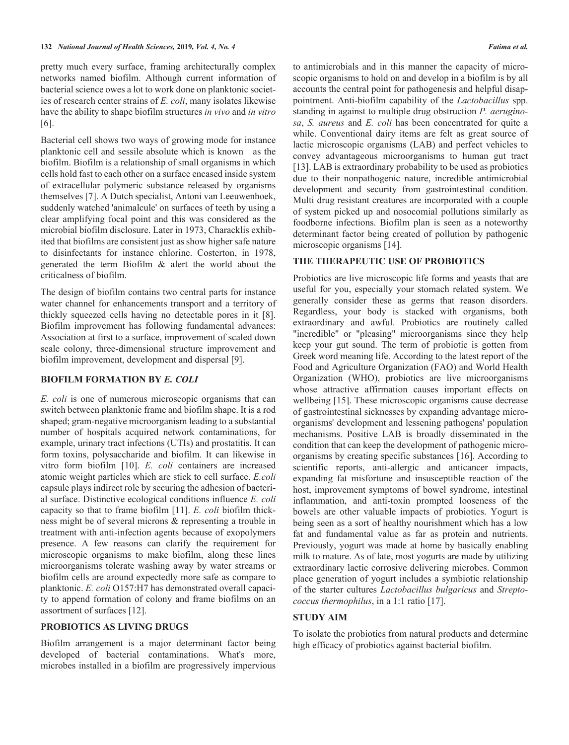pretty much every surface, framing architecturally complex networks named biofilm. Although current information of bacterial science owes a lot to work done on planktonic societies of research center strains of *E. coli*, many isolates likewise have the ability to shape biofilm structures *in vivo* and *in vitro* [6].

Bacterial cell shows two ways of growing mode for instance planktonic cell and sessile absolute which is known as the biofilm. Biofilm is a relationship of small organisms in which cells hold fast to each other on a surface encased inside system of extracellular polymeric substance released by organisms themselves [7]. A Dutch specialist, Antoni van Leeuwenhoek, suddenly watched 'animalcule' on surfaces of teeth by using a clear amplifying focal point and this was considered as the microbial biofilm disclosure. Later in 1973, Characklis exhibited that biofilms are consistent just as show higher safe nature to disinfectants for instance chlorine. Costerton, in 1978, generated the term Biofilm & alert the world about the criticalness of biofilm.

The design of biofilm contains two central parts for instance water channel for enhancements transport and a territory of thickly squeezed cells having no detectable pores in it [8]. Biofilm improvement has following fundamental advances: Association at first to a surface, improvement of scaled down scale colony, three-dimensional structure improvement and biofilm improvement, development and dispersal [9].

#### **BIOFILM FORMATION BY** *E. COLI*

*E. coli* is one of numerous microscopic organisms that can switch between planktonic frame and biofilm shape. It is a rod shaped; gram-negative microorganism leading to a substantial number of hospitals acquired network contaminations, for example, urinary tract infections (UTIs) and prostatitis. It can form toxins, polysaccharide and biofilm. It can likewise in vitro form biofilm [10]. *E. coli* containers are increased atomic weight particles which are stick to cell surface. *E.coli* capsule plays indirect role by securing the adhesion of bacterial surface. Distinctive ecological conditions influence *E. coli* capacity so that to frame biofilm [11]. *E. coli* biofilm thickness might be of several microns & representing a trouble in treatment with anti-infection agents because of exopolymers presence. A few reasons can clarify the requirement for microscopic organisms to make biofilm, along these lines microorganisms tolerate washing away by water streams or biofilm cells are around expectedly more safe as compare to planktonic. *E. coli* O157:H7 has demonstrated overall capacity to append formation of colony and frame biofilms on an assortment of surfaces [12].

#### **PROBIOTICS AS LIVING DRUGS**

Biofilm arrangement is a major determinant factor being developed of bacterial contaminations. What's more, microbes installed in a biofilm are progressively impervious

to antimicrobials and in this manner the capacity of microscopic organisms to hold on and develop in a biofilm is by all accounts the central point for pathogenesis and helpful disappointment. Anti-biofilm capability of the *Lactobacillus* spp. standing in against to multiple drug obstruction *P. aeruginosa*, *S. aureus* and *E. coli* has been concentrated for quite a while. Conventional dairy items are felt as great source of lactic microscopic organisms (LAB) and perfect vehicles to convey advantageous microorganisms to human gut tract [13]. LAB is extraordinary probability to be used as probiotics due to their nonpathogenic nature, incredible antimicrobial development and security from gastrointestinal condition. Multi drug resistant creatures are incorporated with a couple of system picked up and nosocomial pollutions similarly as foodborne infections. Biofilm plan is seen as a noteworthy determinant factor being created of pollution by pathogenic microscopic organisms [14].

# **THE THERAPEUTIC USE OF PROBIOTICS**

Probiotics are live microscopic life forms and yeasts that are useful for you, especially your stomach related system. We generally consider these as germs that reason disorders. Regardless, your body is stacked with organisms, both extraordinary and awful. Probiotics are routinely called "incredible" or "pleasing" microorganisms since they help keep your gut sound. The term of probiotic is gotten from Greek word meaning life. According to the latest report of the Food and Agriculture Organization (FAO) and World Health Organization (WHO), probiotics are live microorganisms whose attractive affirmation causes important effects on wellbeing [15]. These microscopic organisms cause decrease of gastrointestinal sicknesses by expanding advantage microorganisms' development and lessening pathogens' population mechanisms. Positive LAB is broadly disseminated in the condition that can keep the development of pathogenic microorganisms by creating specific substances [16]. According to scientific reports, anti-allergic and anticancer impacts, expanding fat misfortune and insusceptible reaction of the host, improvement symptoms of bowel syndrome, intestinal inflammation, and anti-toxin prompted looseness of the bowels are other valuable impacts of probiotics. Yogurt is being seen as a sort of healthy nourishment which has a low fat and fundamental value as far as protein and nutrients. Previously, yogurt was made at home by basically enabling milk to mature. As of late, most yogurts are made by utilizing extraordinary lactic corrosive delivering microbes. Common place generation of yogurt includes a symbiotic relationship of the starter cultures *Lactobacillus bulgaricus* and *Streptococcus thermophilus*, in a 1:1 ratio [17].

## **STUDY AIM**

To isolate the probiotics from natural products and determine high efficacy of probiotics against bacterial biofilm.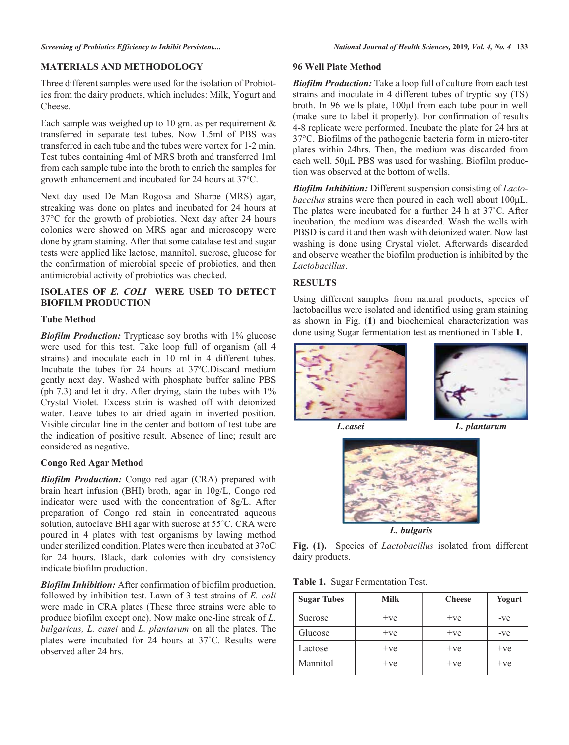## **MATERIALS AND METHODOLOGY**

Three different samples were used for the isolation of Probiotics from the dairy products, which includes: Milk, Yogurt and Cheese.

Each sample was weighed up to 10 gm. as per requirement  $\&$ transferred in separate test tubes. Now 1.5ml of PBS was transferred in each tube and the tubes were vortex for 1-2 min. Test tubes containing 4ml of MRS broth and transferred 1ml from each sample tube into the broth to enrich the samples for growth enhancement and incubated for 24 hours at 37ºC.

Next day used De Man Rogosa and Sharpe (MRS) agar, streaking was done on plates and incubated for 24 hours at 37°C for the growth of probiotics. Next day after 24 hours colonies were showed on MRS agar and microscopy were done by gram staining. After that some catalase test and sugar tests were applied like lactose, mannitol, sucrose, glucose for the confirmation of microbial specie of probiotics, and then antimicrobial activity of probiotics was checked.

# **ISOLATES OF** *E. COLI* **WERE USED TO DETECT BIOFILM PRODUCTION**

## **Tube Method**

*Biofilm Production:* Trypticase soy broths with 1% glucose were used for this test. Take loop full of organism (all 4 strains) and inoculate each in 10 ml in 4 different tubes. Incubate the tubes for 24 hours at 37ºC.Discard medium gently next day. Washed with phosphate buffer saline PBS (ph  $7.3$ ) and let it dry. After drying, stain the tubes with  $1\%$ Crystal Violet. Excess stain is washed off with deionized water. Leave tubes to air dried again in inverted position. Visible circular line in the center and bottom of test tube are the indication of positive result. Absence of line; result are considered as negative.

## **Congo Red Agar Method**

*Biofilm Production:* Congo red agar (CRA) prepared with brain heart infusion (BHI) broth, agar in 10g/L, Congo red indicator were used with the concentration of 8g/L. After preparation of Congo red stain in concentrated aqueous solution, autoclave BHI agar with sucrose at 55˚C. CRA were poured in 4 plates with test organisms by lawing method under sterilized condition. Plates were then incubated at 37oC for 24 hours. Black, dark colonies with dry consistency indicate biofilm production.

*Biofilm Inhibition:* After confirmation of biofilm production, followed by inhibition test. Lawn of 3 test strains of *E. coli* were made in CRA plates (These three strains were able to produce biofilm except one). Now make one-line streak of *L. bulgaricus, L. casei* and *L. plantarum* on all the plates. The plates were incubated for 24 hours at 37˚C. Results were observed after 24 hrs.

## **96 Well Plate Method**

*Biofilm Production:* Take a loop full of culture from each test strains and inoculate in 4 different tubes of tryptic soy (TS) broth. In 96 wells plate, 100μl from each tube pour in well (make sure to label it properly). For confirmation of results 4-8 replicate were performed. Incubate the plate for 24 hrs at 37°C. Biofilms of the pathogenic bacteria form in micro-titer plates within 24hrs. Then, the medium was discarded from each well. 50μL PBS was used for washing. Biofilm production was observed at the bottom of wells.

*Biofilm Inhibition:* Different suspension consisting of *Lactobaccilus* strains were then poured in each well about 100μL. The plates were incubated for a further 24 h at 37˚C. After incubation, the medium was discarded. Wash the wells with PBSD is card it and then wash with deionized water. Now last washing is done using Crystal violet. Afterwards discarded and observe weather the biofilm production is inhibited by the *Lactobacillus*.

# **RESULTS**

Using different samples from natural products, species of lactobacillus were isolated and identified using gram staining as shown in Fig. (**1**) and biochemical characterization was done using Sugar fermentation test as mentioned in Table **1**.



*L.casei L. plantarum*



*L. bulgaris*

**Fig. (1).** Species of *Lactobacillus* isolated from different dairy products.

**Table 1.** Sugar Fermentation Test.

| <b>Sugar Tubes</b> | <b>Milk</b> | <b>Cheese</b> | Yogurt |
|--------------------|-------------|---------------|--------|
| Sucrose            | $+ve$       | $+ve$         | -ve    |
| Glucose            | $+ve$       | $+ve$         | -ve    |
| Lactose            | $+ve$       | $+ve$         | $+ve$  |
| Mannitol           | $+ve$       | $+ve$         | $+ve$  |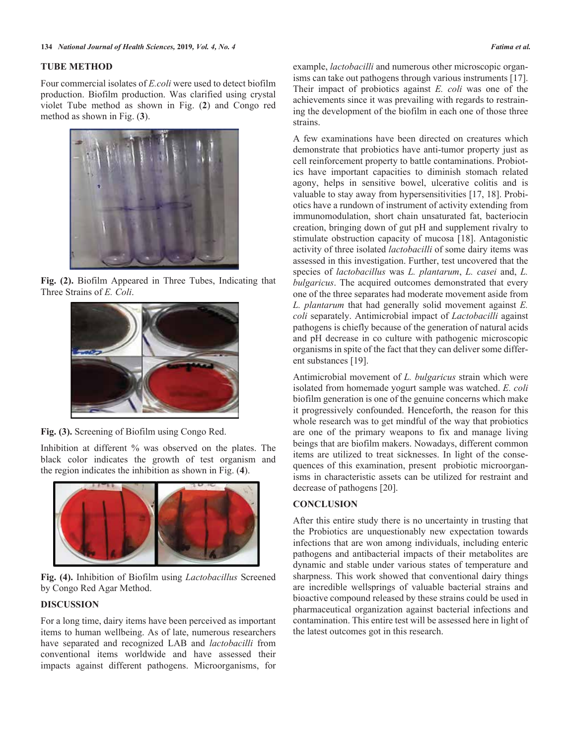#### **TUBE METHOD**

Four commercial isolates of *E.coli* were used to detect biofilm production. Biofilm production. Was clarified using crystal violet Tube method as shown in Fig. (**2**) and Congo red method as shown in Fig. (**3**).



**Fig. (2).** Biofilm Appeared in Three Tubes, Indicating that Three Strains of *E. Coli*.



**Fig. (3).** Screening of Biofilm using Congo Red.

Inhibition at different % was observed on the plates. The black color indicates the growth of test organism and the region indicates the inhibition as shown in Fig. (**4**).



**Fig. (4).** Inhibition of Biofilm using *Lactobacillus* Screened by Congo Red Agar Method.

# **DISCUSSION**

For a long time, dairy items have been perceived as important items to human wellbeing. As of late, numerous researchers have separated and recognized LAB and *lactobacilli* from conventional items worldwide and have assessed their impacts against different pathogens. Microorganisms, for

example, *lactobacilli* and numerous other microscopic organisms can take out pathogens through various instruments [17]. Their impact of probiotics against *E. coli* was one of the achievements since it was prevailing with regards to restraining the development of the biofilm in each one of those three strains.

A few examinations have been directed on creatures which demonstrate that probiotics have anti-tumor property just as cell reinforcement property to battle contaminations. Probiotics have important capacities to diminish stomach related agony, helps in sensitive bowel, ulcerative colitis and is valuable to stay away from hypersensitivities [17, 18]. Probiotics have a rundown of instrument of activity extending from immunomodulation, short chain unsaturated fat, bacteriocin creation, bringing down of gut pH and supplement rivalry to stimulate obstruction capacity of mucosa [18]. Antagonistic activity of three isolated *lactobacilli* of some dairy items was assessed in this investigation. Further, test uncovered that the species of *lactobacillus* was *L. plantarum*, *L. casei* and, *L. bulgaricus*. The acquired outcomes demonstrated that every one of the three separates had moderate movement aside from *L. plantarum* that had generally solid movement against *E. coli* separately. Antimicrobial impact of *Lactobacilli* against pathogens is chiefly because of the generation of natural acids and pH decrease in co culture with pathogenic microscopic organisms in spite of the fact that they can deliver some different substances [19].

Antimicrobial movement of *L. bulgaricus* strain which were isolated from homemade yogurt sample was watched. *E. coli* biofilm generation is one of the genuine concerns which make it progressively confounded. Henceforth, the reason for this whole research was to get mindful of the way that probiotics are one of the primary weapons to fix and manage living beings that are biofilm makers. Nowadays, different common items are utilized to treat sicknesses. In light of the consequences of this examination, present probiotic microorganisms in characteristic assets can be utilized for restraint and decrease of pathogens [20].

#### **CONCLUSION**

After this entire study there is no uncertainty in trusting that the Probiotics are unquestionably new expectation towards infections that are won among individuals, including enteric pathogens and antibacterial impacts of their metabolites are dynamic and stable under various states of temperature and sharpness. This work showed that conventional dairy things are incredible wellsprings of valuable bacterial strains and bioactive compound released by these strains could be used in pharmaceutical organization against bacterial infections and contamination. This entire test will be assessed here in light of the latest outcomes got in this research.